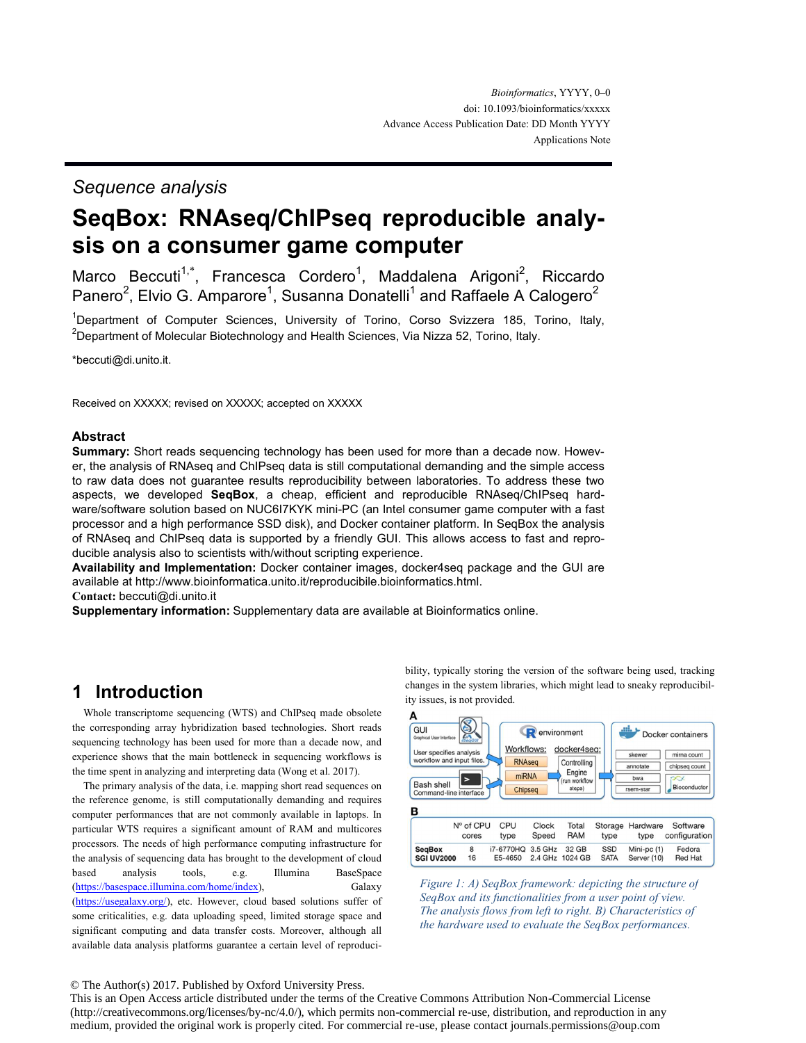#### *Sequence analysis*

# **SeqBox: RNAseq/ChIPseq reproducible analysis on a consumer game computer**

Marco Beccuti<sup>1,\*</sup>, Francesca Cordero<sup>1</sup>, Maddalena Arigoni<sup>2</sup>, Riccardo Panero<sup>2</sup>, Elvio G. Amparore<sup>1</sup>, Susanna Donatelli<sup>1</sup> and Raffaele A Calogero<sup>2</sup>

<sup>1</sup>Department of Computer Sciences, University of Torino, Corso Svizzera 185, Torino, Italy, <sup>2</sup>Department of Molecular Biotechnology and Health Sciences, Via Nizza 52, Torino, Italy.

\*beccuti@di.unito.it.

Received on XXXXX; revised on XXXXX; accepted on XXXXX

#### **Abstract**

**Summary:** Short reads sequencing technology has been used for more than a decade now. However, the analysis of RNAseq and ChIPseq data is still computational demanding and the simple access to raw data does not guarantee results reproducibility between laboratories. To address these two aspects, we developed **SeqBox**, a cheap, efficient and reproducible RNAseq/ChIPseq hardware/software solution based on NUC6I7KYK mini-PC (an Intel consumer game computer with a fast processor and a high performance SSD disk), and Docker container platform. In SeqBox the analysis of RNAseq and ChIPseq data is supported by a friendly GUI. This allows access to fast and reproducible analysis also to scientists with/without scripting experience.

**Availability and Implementation:** Docker container images, docker4seq package and the GUI are available at http://www.bioinformatica.unito.it/reproducibile.bioinformatics.html.

**Contact:** beccuti@di.unito.it

**Supplementary information:** Supplementary data are available at Bioinformatics online.

#### **1 Introduction**

Whole transcriptome sequencing (WTS) and ChIPseq made obsolete the corresponding array hybridization based technologies. Short reads sequencing technology has been used for more than a decade now, and experience shows that the main bottleneck in sequencing workflows is the time spent in analyzing and interpreting data (Wong et al. 2017).

The primary analysis of the data, i.e. mapping short read sequences on the reference genome, is still computationally demanding and requires computer performances that are not commonly available in laptops. In particular WTS requires a significant amount of RAM and multicores processors. The needs of high performance computing infrastructure for the analysis of sequencing data has brought to the development of cloud based analysis tools, e.g. Illumina BaseSpace (https://basespace.illumina.com/home/index), Galaxy (https://usegalaxy.org/), etc. However, cloud based solutions suffer of some criticalities, e.g. data uploading speed, limited storage space and significant computing and data transfer costs. Moreover, although all available data analysis platforms guarantee a certain level of reproducibility, typically storing the version of the software being used, tracking changes in the system libraries, which might lead to sneaky reproducibility issues, is not provided.





#### © The Author(s) 2017. Published by Oxford University Press.

This is an Open Access article distributed under the terms of the Creative Commons Attribution Non-Commercial License (http://creativecommons.org/licenses/by-nc/4.0/), which permits non-commercial re-use, distribution, and reproduction in any medium, provided the original work is properly cited. For commercial re-use, please contact journals.permissions@oup.com